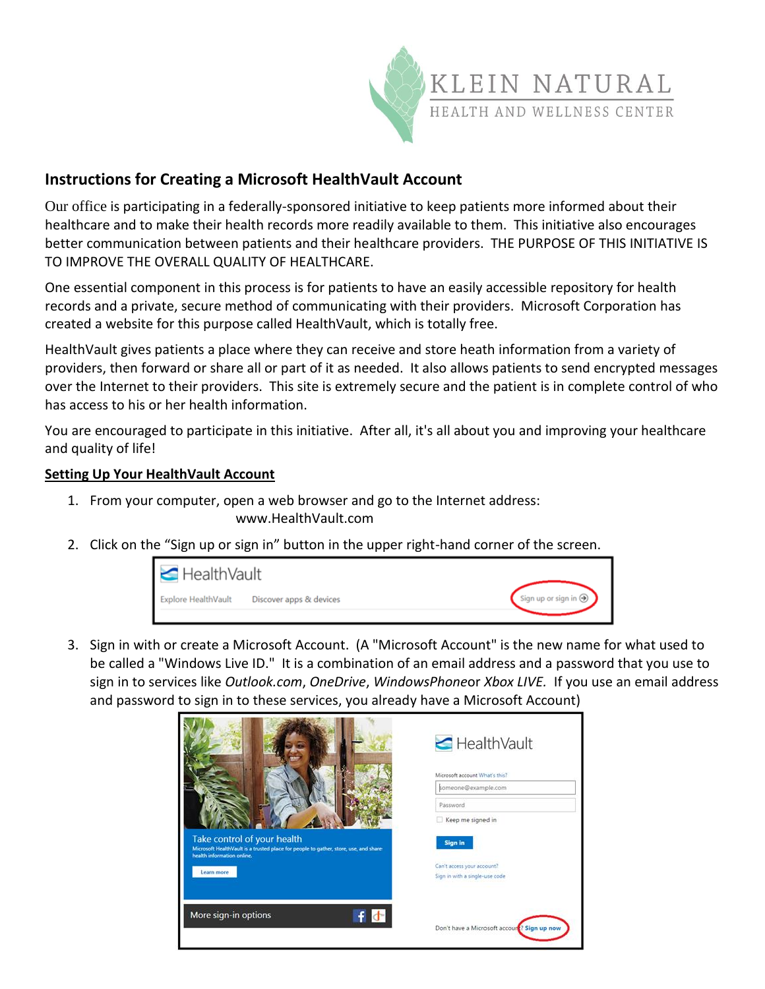

## **Instructions for Creating a Microsoft HealthVault Account**

Our office is participating in a federally-sponsored initiative to keep patients more informed about their healthcare and to make their health records more readily available to them. This initiative also encourages better communication between patients and their healthcare providers. THE PURPOSE OF THIS INITIATIVE IS TO IMPROVE THE OVERALL QUALITY OF HEALTHCARE.

One essential component in this process is for patients to have an easily accessible repository for health records and a private, secure method of communicating with their providers. Microsoft Corporation has created a website for this purpose called HealthVault, which is totally free.

HealthVault gives patients a place where they can receive and store heath information from a variety of providers, then forward or share all or part of it as needed. It also allows patients to send encrypted messages over the Internet to their providers. This site is extremely secure and the patient is in complete control of who has access to his or her health information.

You are encouraged to participate in this initiative. After all, it's all about you and improving your healthcare and quality of life!

## **Setting Up Your HealthVault Account**

- 1. From your computer, open a web browser and go to the Internet address: www.HealthVault.com
- 2. Click on the "Sign up or sign in" button in the upper right-hand corner of the screen.



3. Sign in with or create a Microsoft Account. (A "Microsoft Account" is the new name for what used to be called a "Windows Live ID." It is a combination of an email address and a password that you use to sign in to services like *Outlook.com*, *OneDrive*, *WindowsPhone*or *Xbox LIVE.* If you use an email address and password to sign in to these services, you already have a Microsoft Account)

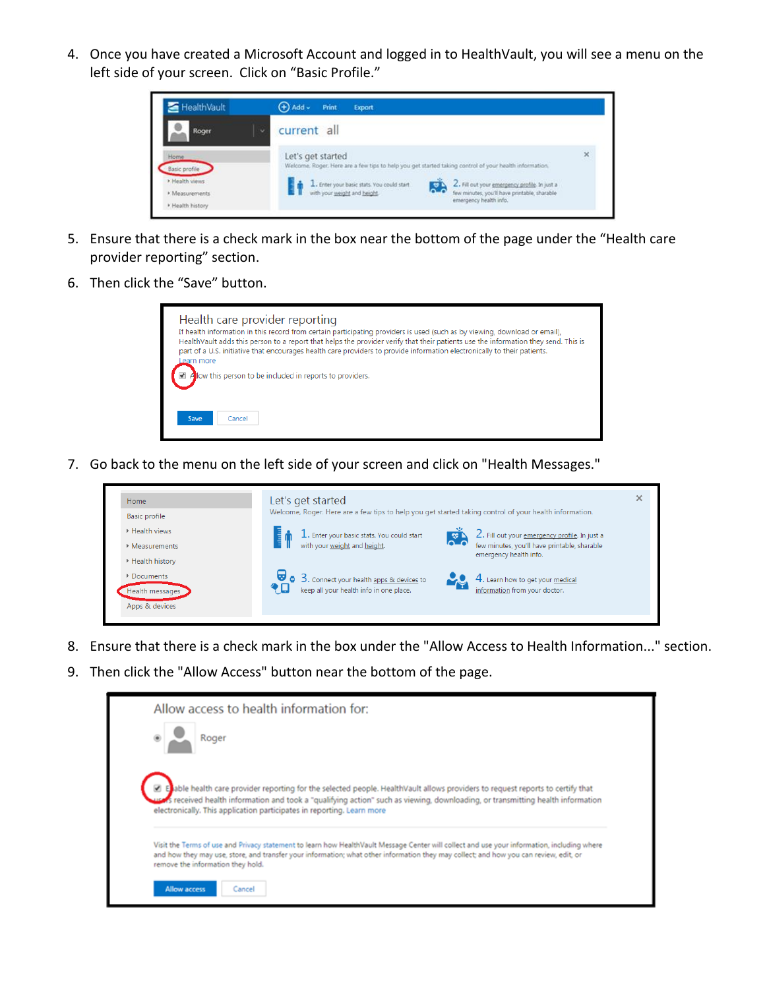4. Once you have created a Microsoft Account and logged in to HealthVault, you will see a menu on the left side of your screen. Click on "Basic Profile."



- 5. Ensure that there is a check mark in the box near the bottom of the page under the "Health care provider reporting" section.
- 6. Then click the "Save" button.



7. Go back to the menu on the left side of your screen and click on "Health Messages."



- 8. Ensure that there is a check mark in the box under the "Allow Access to Health Information..." section.
- 9. Then click the "Allow Access" button near the bottom of the page.

| Allow access to health information for:                                                                                                                                                                                                                                                                                                     |
|---------------------------------------------------------------------------------------------------------------------------------------------------------------------------------------------------------------------------------------------------------------------------------------------------------------------------------------------|
| Roger                                                                                                                                                                                                                                                                                                                                       |
| a Elable health care provider reporting for the selected people. HealthVault allows providers to request reports to certify that<br>s received health information and took a "qualifying action" such as viewing, downloading, or transmitting health information<br>electronically. This application participates in reporting. Learn more |
| Visit the Terms of use and Privacy statement to learn how HealthVault Message Center will collect and use your information, including where<br>and how they may use, store, and transfer your information; what other information they may collect; and how you can review, edit, or<br>remove the information they hold.                   |
| <b>Allow access</b><br>Cancel                                                                                                                                                                                                                                                                                                               |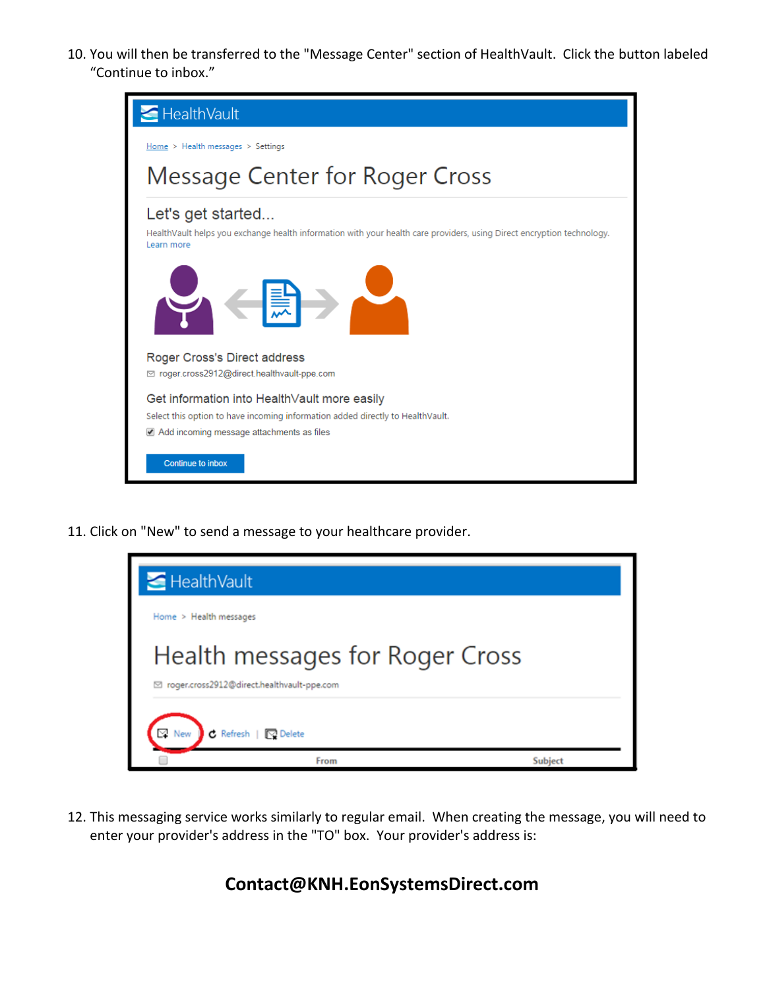10. You will then be transferred to the "Message Center" section of HealthVault. Click the button labeled "Continue to inbox."



11. Click on "New" to send a message to your healthcare provider.

| HealthVault                                                                     |         |
|---------------------------------------------------------------------------------|---------|
| Home > Health messages                                                          |         |
| Health messages for Roger Cross<br>□ roger.cross2912@direct.healthvault-ppe.com |         |
| C Refresh   <a><br/>New</a>                                                     |         |
| From                                                                            | Subject |

12. This messaging service works similarly to regular email. When creating the message, you will need to enter your provider's address in the "TO" box. Your provider's address is:

**Contact@KNH.EonSystemsDirect.com**